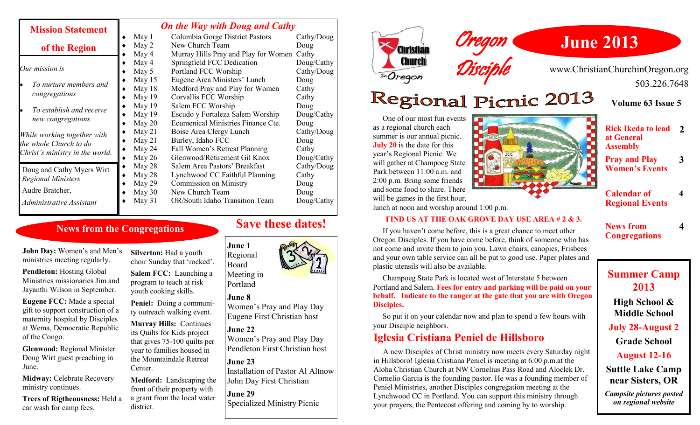| <b>Mission Statement</b>                                                                 |             | <b>On the Way with Doug and Cathy</b> |            |  |
|------------------------------------------------------------------------------------------|-------------|---------------------------------------|------------|--|
|                                                                                          | May 1       | Columbia Gorge District Pastors       | Cathy/Doug |  |
| of the Region                                                                            | May 2       | New Church Team                       | Doug       |  |
|                                                                                          | May 4       | Murray Hills Pray and Play for Women  | Cathy      |  |
| Our mission is                                                                           | May 4       | Springfield FCC Dedication            | Doug/Cathy |  |
|                                                                                          | May 5       | Portland FCC Worship                  | Cathy/Doug |  |
| To nurture members and<br>congregations                                                  | May 15      | Eugene Area Ministers' Lunch          | Doug       |  |
|                                                                                          | May 18      | Medford Pray and Play for Women       | Cathy      |  |
|                                                                                          | May 19      | Corvallis FCC Worship                 | Cathy      |  |
| To establish and receive<br>new congregations                                            | May 19      | Salem FCC Worship                     | Doug       |  |
|                                                                                          | May $19$    | Escudo y Fortaleza Salem Worship      | Doug/Cathy |  |
|                                                                                          | May $20$    | Ecumenical Ministries Finance Cte.    | Doug       |  |
| While working together with<br>the whole Church to do<br>Christ's ministry in the world. | May $21$    | Boise Area Clergy Lunch               | Cathy/Doug |  |
|                                                                                          | May $21$    | Burley, Idaho FCC                     | Doug       |  |
|                                                                                          | May 24      | Fall Women's Retreat Planning         | Cathy      |  |
|                                                                                          | May $26$    | Glenwood/Retirement Gil Knox          | Doug/Cathy |  |
| Doug and Cathy Myers Wirt                                                                | May 28<br>٠ | Salem Area Pastors' Breakfast         | Cathy/Doug |  |
| <b>Regional Ministers</b>                                                                | May 28      | Lynchwood CC Faithful Planning        | Cathy      |  |
|                                                                                          | May 29      | <b>Commission on Ministry</b>         | Doug       |  |
| Audre Bratcher,                                                                          | May 30      | New Church Team                       | Doug       |  |
| Administrative Assistant                                                                 | May 31      | OR/South Idaho Transition Team        | Doug/Cathy |  |

#### **News from the Congregations**

**John Day:** Women's and Men's ministries meeting regularly.

**Pendleton:** Hosting Global Ministries missionaries Jim and Jayanthi Wilson in September.

**Eugene FCC:** Made a special gift to support construction of a maternity hospital by Disciples at Wema, Democratic Republic of the Congo.

**Glenwood:** Regional Minister Doug Wirt guest preaching in June.

**Midway:** Celebrate Recovery ministry continues.

**Trees of Rigtheousness:** Held a car wash for camp fees.

**Silverton:** Had a youth choir Sunday that 'rocked'.

**Salem FCC:** Launching a program to teach at risk youth cooking skills.

**Peniel:** Doing a community outreach walking event.

**Murray Hills:** Continues its Quilts for Kids project that gives 75-100 quilts per year to families housed in the Mountaindale Retreat Center.

**Medford:** Landscaping the front of their property with a grant from the local water district.

### **Save these dates!**

Regional Meeting in Portland

#### **June 8**

**June 1**

Board

Women's Pray and Play Day Eugene First Christian host

#### **June 22**

Women's Pray and Play Day Pendleton First Christian host

#### **June 23**

Installation of Pastor Al Altnow John Day First Christian

**June 29** Specialized Ministry Picnic





www.ChristianChurchinOregon.org 503.226.7648

# **Regional Picnic 2013**

Oregon

Disciple

**Volume 63 Issue 5**

 One of our most fun events as a regional church each summer is our annual picnic. **July 20** is the date for this year's Regional Picnic. We will gather at Champoeg State Park between 11:00 a.m. and 2:00 p.m. Bring some friends and some food to share. There will be games in the first hour, lunch at noon and worship around 1:00 p.m.



**Rick Ikeda to lead 2 at General Assembly** 

**Pray and Play Women's Events**

**3**

**4**

**4**

**Calendar of Regional Events**

**News from Congregations**

#### **FIND US AT THE OAK GROVE DAY USE AREA # 2 & 3.**

 If you haven't come before, this is a great chance to meet other Oregon Disciples. If you have come before, think of someone who has not come and invite them to join you. Lawn chairs, canopies, Frisbees and your own table service can all be put to good use. Paper plates and plastic utensils will also be available.

 Champoeg State Park is located west of Interstate 5 between Portland and Salem. **Fees for entry and parking will be paid on your behalf. Indicate to the ranger at the gate that you are with Oregon Disciples.**

So put it on your calendar now and plan to spend a few hours with your Disciple neighbors.

#### **Iglesia Cristiana Peniel de Hillsboro**

 A new Disciples of Christ ministry now meets every Saturday night in Hillsboro! Iglesia Cristiana Peniel is meeting at 6:00 p.m.at the Aloha Christian Church at NW Cornelius Pass Road and Aloclek Dr. Cornelio Garcia is the founding pastor. He was a founding member of Peniel Ministries, another Disciples congregation meeting at the Lynchwood CC in Portland. You can support this ministry through your prayers, the Pentecost offering and coming by to worship.

## **Summer Camp 2013**

**High School & Middle School July 28-August 2**

**Grade School**

**August 12-16**

**Suttle Lake Camp near Sisters, OR**

*Campsite pictures posted on regional website*